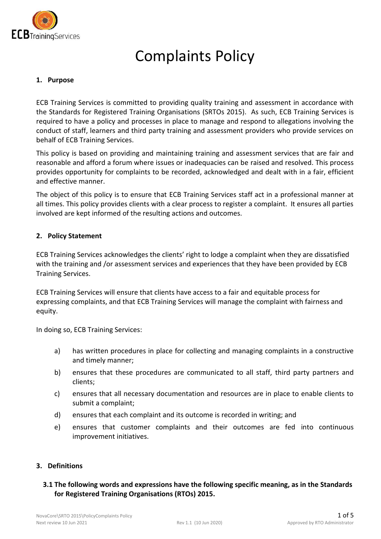

# Complaints Policy

## **1. Purpose**

ECB Training Services is committed to providing quality training and assessment in accordance with the Standards for Registered Training Organisations (SRTOs 2015). As such, ECB Training Services is required to have a policy and processes in place to manage and respond to allegations involving the conduct of staff, learners and third party training and assessment providers who provide services on behalf of ECB Training Services.

This policy is based on providing and maintaining training and assessment services that are fair and reasonable and afford a forum where issues or inadequacies can be raised and resolved. This process provides opportunity for complaints to be recorded, acknowledged and dealt with in a fair, efficient and effective manner.

The object of this policy is to ensure that ECB Training Services staff act in a professional manner at all times. This policy provides clients with a clear process to register a complaint. It ensures all parties involved are kept informed of the resulting actions and outcomes.

#### **2. Policy Statement**

ECB Training Services acknowledges the clients' right to lodge a complaint when they are dissatisfied with the training and /or assessment services and experiences that they have been provided by ECB Training Services.

ECB Training Services will ensure that clients have access to a fair and equitable process for expressing complaints, and that ECB Training Services will manage the complaint with fairness and equity.

In doing so, ECB Training Services:

- a) has written procedures in place for collecting and managing complaints in a constructive and timely manner;
- b) ensures that these procedures are communicated to all staff, third party partners and clients;
- c) ensures that all necessary documentation and resources are in place to enable clients to submit a complaint;
- d) ensures that each complaint and its outcome is recorded in writing; and
- e) ensures that customer complaints and their outcomes are fed into continuous improvement initiatives.

#### **3. Definitions**

## **3.1 The following words and expressions have the following specific meaning, as in the Standards for Registered Training Organisations (RTOs) 2015.**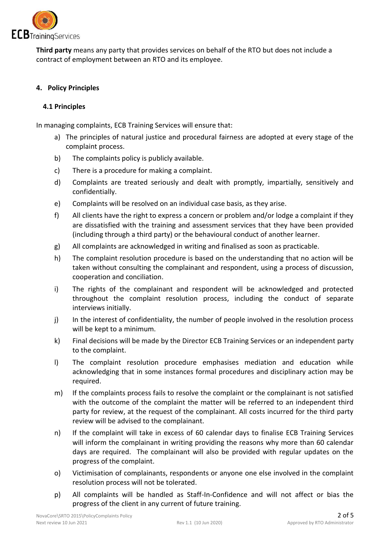

**Third party** means any party that provides services on behalf of the RTO but does not include a contract of employment between an RTO and its employee.

# **4. Policy Principles**

## **4.1 Principles**

In managing complaints, ECB Training Services will ensure that:

- a) The principles of natural justice and procedural fairness are adopted at every stage of the complaint process.
- b) The complaints policy is publicly available.
- c) There is a procedure for making a complaint.
- d) Complaints are treated seriously and dealt with promptly, impartially, sensitively and confidentially.
- e) Complaints will be resolved on an individual case basis, as they arise.
- f) All clients have the right to express a concern or problem and/or lodge a complaint if they are dissatisfied with the training and assessment services that they have been provided (including through a third party) or the behavioural conduct of another learner.
- g) All complaints are acknowledged in writing and finalised as soon as practicable.
- h) The complaint resolution procedure is based on the understanding that no action will be taken without consulting the complainant and respondent, using a process of discussion, cooperation and conciliation.
- i) The rights of the complainant and respondent will be acknowledged and protected throughout the complaint resolution process, including the conduct of separate interviews initially.
- j) In the interest of confidentiality, the number of people involved in the resolution process will be kept to a minimum.
- k) Final decisions will be made by the Director ECB Training Services or an independent party to the complaint.
- l) The complaint resolution procedure emphasises mediation and education while acknowledging that in some instances formal procedures and disciplinary action may be required.
- m) If the complaints process fails to resolve the complaint or the complainant is not satisfied with the outcome of the complaint the matter will be referred to an independent third party for review, at the request of the complainant. All costs incurred for the third party review will be advised to the complainant.
- n) If the complaint will take in excess of 60 calendar days to finalise ECB Training Services will inform the complainant in writing providing the reasons why more than 60 calendar days are required. The complainant will also be provided with regular updates on the progress of the complaint.
- o) Victimisation of complainants, respondents or anyone one else involved in the complaint resolution process will not be tolerated.
- p) All complaints will be handled as Staff-In-Confidence and will not affect or bias the progress of the client in any current of future training.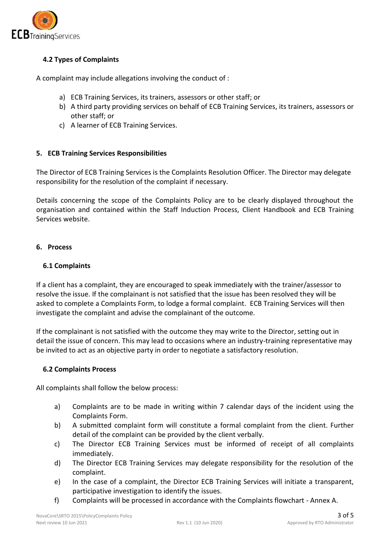

# **4.2 Types of Complaints**

A complaint may include allegations involving the conduct of :

- a) ECB Training Services, its trainers, assessors or other staff; or
- b) A third party providing services on behalf of ECB Training Services, its trainers, assessors or other staff; or
- c) A learner of ECB Training Services.

## **5. ECB Training Services Responsibilities**

The Director of ECB Training Services is the Complaints Resolution Officer. The Director may delegate responsibility for the resolution of the complaint if necessary.

Details concerning the scope of the Complaints Policy are to be clearly displayed throughout the organisation and contained within the Staff Induction Process, Client Handbook and ECB Training Services website.

## **6. Process**

#### **6.1 Complaints**

If a client has a complaint, they are encouraged to speak immediately with the trainer/assessor to resolve the issue. If the complainant is not satisfied that the issue has been resolved they will be asked to complete a Complaints Form, to lodge a formal complaint. ECB Training Services will then investigate the complaint and advise the complainant of the outcome.

If the complainant is not satisfied with the outcome they may write to the Director, setting out in detail the issue of concern. This may lead to occasions where an industry-training representative may be invited to act as an objective party in order to negotiate a satisfactory resolution.

## **6.2 Complaints Process**

All complaints shall follow the below process:

- a) Complaints are to be made in writing within 7 calendar days of the incident using the Complaints Form.
- b) A submitted complaint form will constitute a formal complaint from the client. Further detail of the complaint can be provided by the client verbally.
- c) The Director ECB Training Services must be informed of receipt of all complaints immediately.
- d) The Director ECB Training Services may delegate responsibility for the resolution of the complaint.
- e) In the case of a complaint, the Director ECB Training Services will initiate a transparent, participative investigation to identify the issues.
- f) Complaints will be processed in accordance with the Complaints flowchart Annex A.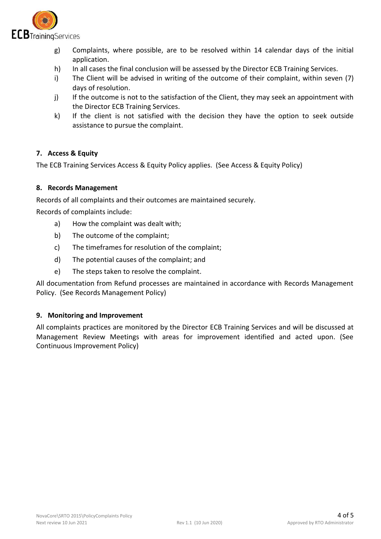

- g) Complaints, where possible, are to be resolved within 14 calendar days of the initial application.
- h) In all cases the final conclusion will be assessed by the Director ECB Training Services.
- i) The Client will be advised in writing of the outcome of their complaint, within seven (7) days of resolution.
- j) If the outcome is not to the satisfaction of the Client, they may seek an appointment with the Director ECB Training Services.
- k) If the client is not satisfied with the decision they have the option to seek outside assistance to pursue the complaint.

## **7. Access & Equity**

The ECB Training Services Access & Equity Policy applies. (See Access & Equity Policy)

## **8. Records Management**

Records of all complaints and their outcomes are maintained securely.

Records of complaints include:

- a) How the complaint was dealt with;
- b) The outcome of the complaint;
- c) The timeframes for resolution of the complaint;
- d) The potential causes of the complaint; and
- e) The steps taken to resolve the complaint.

All documentation from Refund processes are maintained in accordance with Records Management Policy. (See Records Management Policy)

#### **9. Monitoring and Improvement**

All complaints practices are monitored by the Director ECB Training Services and will be discussed at Management Review Meetings with areas for improvement identified and acted upon. (See Continuous Improvement Policy)